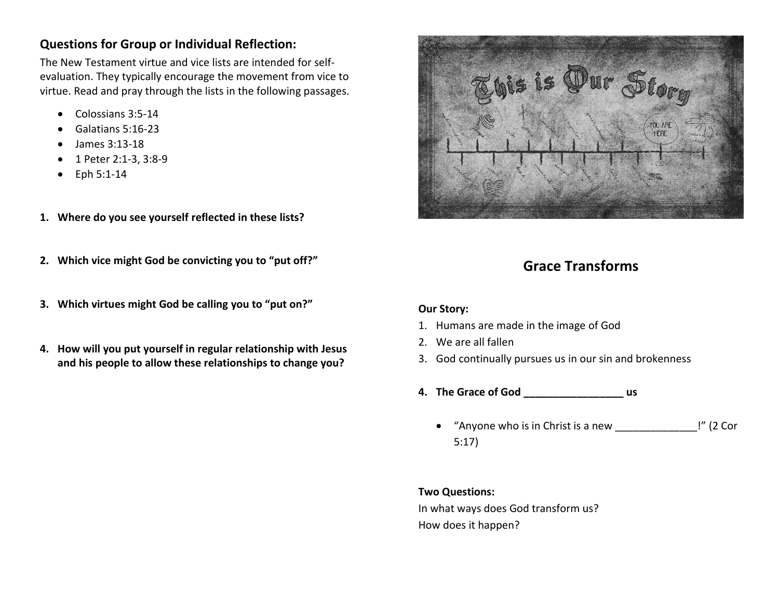# **Questions for Group or Individual Reflection:**

The New Testament virtue and vice lists are intended for selfevaluation. They typically encourage the movement from vice to virtue. Read and pray through the lists in the following passages.

- Colossians 3:5-14
- Galatians 5:16-23
- James 3:13-18
- 1 Peter 2:1-3, 3:8-9
- Eph 5:1-14
- **1. Where do you see yourself reflected in these lists?**
- **2. Which vice might God be convicting you to "put off?"**
- **3. Which virtues might God be calling you to "put on?"**
- **4. How will you put yourself in regular relationship with Jesus and his people to allow these relationships to change you?**



# **Grace Transforms**

## **Our Story:**

- 1. Humans are made in the image of God
- 2. We are all fallen
- 3. God continually pursues us in our sin and brokenness
- **4. The Grace of God \_\_\_\_\_\_\_\_\_\_\_\_\_\_\_\_\_ us**
	- "Anyone who is in Christ is a new \_\_\_\_\_\_\_\_\_\_\_\_\_\_!" (2 Cor 5:17)

## **Two Questions:**

In what ways does God transform us? How does it happen?